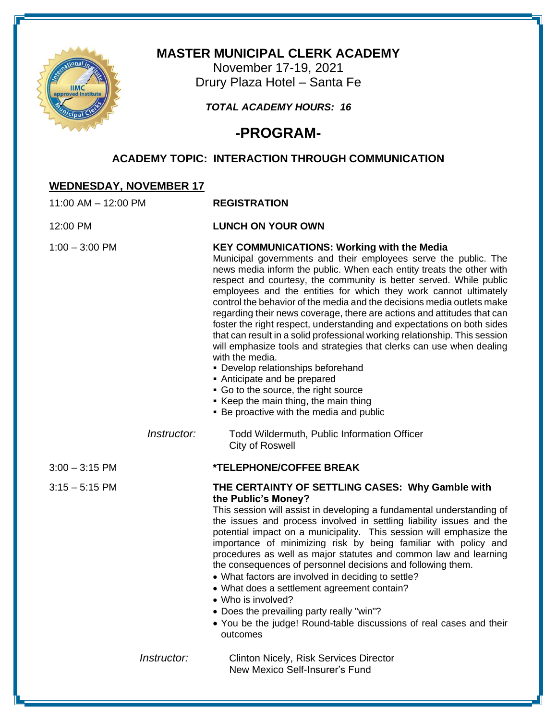

## **MASTER MUNICIPAL CLERK ACADEMY**

November 17-19, 2021 Drury Plaza Hotel – Santa Fe

## *TOTAL ACADEMY HOURS: 16*

# **-PROGRAM-**

## **ACADEMY TOPIC: INTERACTION THROUGH COMMUNICATION**

## **WEDNESDAY, NOVEMBER 17**

| 11:00 AM - 12:00 PM |             | <b>REGISTRATION</b>                                                                                                                                                                                                                                                                                                                                                                                                                                                                                                                                                                                                                                                                                                                                                                                                                                                                                                                             |
|---------------------|-------------|-------------------------------------------------------------------------------------------------------------------------------------------------------------------------------------------------------------------------------------------------------------------------------------------------------------------------------------------------------------------------------------------------------------------------------------------------------------------------------------------------------------------------------------------------------------------------------------------------------------------------------------------------------------------------------------------------------------------------------------------------------------------------------------------------------------------------------------------------------------------------------------------------------------------------------------------------|
| 12:00 PM            |             | <b>LUNCH ON YOUR OWN</b>                                                                                                                                                                                                                                                                                                                                                                                                                                                                                                                                                                                                                                                                                                                                                                                                                                                                                                                        |
| $1:00 - 3:00$ PM    |             | <b>KEY COMMUNICATIONS: Working with the Media</b><br>Municipal governments and their employees serve the public. The<br>news media inform the public. When each entity treats the other with<br>respect and courtesy, the community is better served. While public<br>employees and the entities for which they work cannot ultimately<br>control the behavior of the media and the decisions media outlets make<br>regarding their news coverage, there are actions and attitudes that can<br>foster the right respect, understanding and expectations on both sides<br>that can result in a solid professional working relationship. This session<br>will emphasize tools and strategies that clerks can use when dealing<br>with the media.<br>· Develop relationships beforehand<br>• Anticipate and be prepared<br>• Go to the source, the right source<br>Keep the main thing, the main thing<br>• Be proactive with the media and public |
|                     | Instructor: | Todd Wildermuth, Public Information Officer<br>City of Roswell                                                                                                                                                                                                                                                                                                                                                                                                                                                                                                                                                                                                                                                                                                                                                                                                                                                                                  |
| $3:00 - 3:15$ PM    |             | *TELEPHONE/COFFEE BREAK                                                                                                                                                                                                                                                                                                                                                                                                                                                                                                                                                                                                                                                                                                                                                                                                                                                                                                                         |
| $3:15 - 5:15$ PM    |             | THE CERTAINTY OF SETTLING CASES: Why Gamble with<br>the Public's Money?<br>This session will assist in developing a fundamental understanding of<br>the issues and process involved in settling liability issues and the<br>potential impact on a municipality. This session will emphasize the<br>importance of minimizing risk by being familiar with policy and<br>procedures as well as major statutes and common law and learning<br>the consequences of personnel decisions and following them.<br>• What factors are involved in deciding to settle?<br>• What does a settlement agreement contain?<br>• Who is involved?<br>• Does the prevailing party really "win"?<br>• You be the judge! Round-table discussions of real cases and their<br>outcomes                                                                                                                                                                                |
|                     | Instructor: | <b>Clinton Nicely, Risk Services Director</b><br>New Mexico Self-Insurer's Fund                                                                                                                                                                                                                                                                                                                                                                                                                                                                                                                                                                                                                                                                                                                                                                                                                                                                 |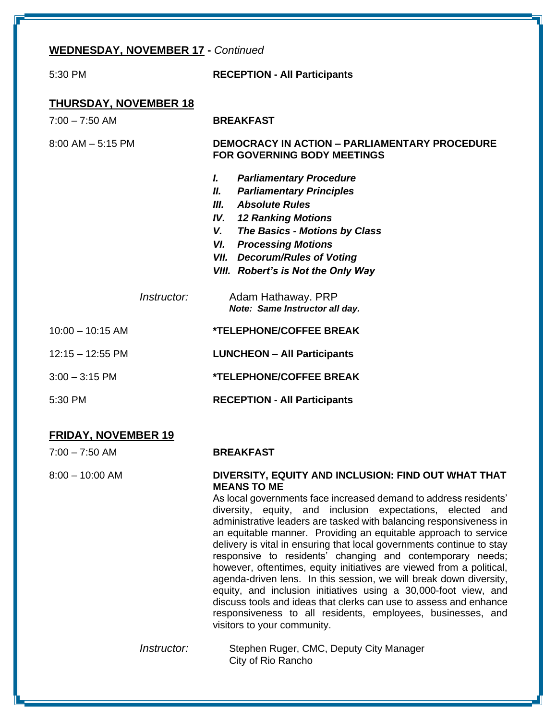#### **WEDNESDAY, NOVEMBER 17 -** *Continued*

| 5:30 PM                      | <b>RECEPTION - All Participants</b>                                                                                                                                                                                                                                                            |  |  |  |  |
|------------------------------|------------------------------------------------------------------------------------------------------------------------------------------------------------------------------------------------------------------------------------------------------------------------------------------------|--|--|--|--|
| <b>THURSDAY, NOVEMBER 18</b> |                                                                                                                                                                                                                                                                                                |  |  |  |  |
| $7:00 - 7:50$ AM             | <b>BREAKFAST</b>                                                                                                                                                                                                                                                                               |  |  |  |  |
| $8:00$ AM $-5:15$ PM         | <b>DEMOCRACY IN ACTION - PARLIAMENTARY PROCEDURE</b><br><b>FOR GOVERNING BODY MEETINGS</b>                                                                                                                                                                                                     |  |  |  |  |
|                              | L<br><b>Parliamentary Procedure</b><br><b>Parliamentary Principles</b><br>II.<br>III. Absolute Rules<br><b>IV.</b> 12 Ranking Motions<br>V. The Basics - Motions by Class<br><b>VI.</b> Processing Motions<br><b>VII.</b> Decorum/Rules of Voting<br><b>VIII.</b> Robert's is Not the Only Way |  |  |  |  |
| Instructor:                  | Adam Hathaway. PRP<br>Note: Same Instructor all day.                                                                                                                                                                                                                                           |  |  |  |  |
| $10:00 - 10:15$ AM           | <b>*TELEPHONE/COFFEE BREAK</b>                                                                                                                                                                                                                                                                 |  |  |  |  |
| $12:15 - 12:55$ PM           | <b>LUNCHEON - All Participants</b>                                                                                                                                                                                                                                                             |  |  |  |  |
| $3:00 - 3:15$ PM             | <b>*TELEPHONE/COFFEE BREAK</b>                                                                                                                                                                                                                                                                 |  |  |  |  |
| 5:30 PM                      | <b>RECEPTION - All Participants</b>                                                                                                                                                                                                                                                            |  |  |  |  |

#### **FRIDAY, NOVEMBER 19**

| 7:00 – 7:50 AM | <b>BREAKFAST</b> |
|----------------|------------------|
|                |                  |

#### 8:00 – 10:00 AM **DIVERSITY, EQUITY AND INCLUSION: FIND OUT WHAT THAT MEANS TO ME**

As local governments face increased demand to address residents' diversity, equity, and inclusion expectations, elected and administrative leaders are tasked with balancing responsiveness in an equitable manner. Providing an equitable approach to service delivery is vital in ensuring that local governments continue to stay responsive to residents' changing and contemporary needs; however, oftentimes, equity initiatives are viewed from a political, agenda-driven lens. In this session, we will break down diversity, equity, and inclusion initiatives using a 30,000-foot view, and discuss tools and ideas that clerks can use to assess and enhance responsiveness to all residents, employees, businesses, and visitors to your community.

*Instructor:* Stephen Ruger, CMC, Deputy City Manager City of Rio Rancho